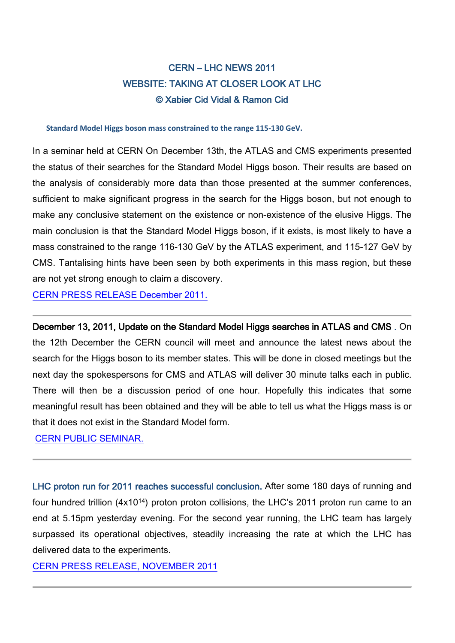## CERN – LHC NEWS 2011 WEBSITE: TAKING AT CLOSER LOOK AT LHC © Xabier Cid Vidal & Ramon Cid

**Standard Model Higgs boson mass constrained to the range 115-130 GeV.** 

In a seminar held at CERN On December 13th, the ATLAS and CMS experiments presented the status of their searches for the Standard Model Higgs boson. Their results are based on the analysis of considerably more data than those presented at the summer conferences, sufficient to make significant progress in the search for the Higgs boson, but not enough to make any conclusive statement on the existence or non-existence of the elusive Higgs. The main conclusion is that the Standard Model Higgs boson, if it exists, is most likely to have a mass constrained to the range 116-130 GeV by the ATLAS experiment, and 115-127 GeV by CMS. Tantalising hints have been seen by both experiments in this mass region, but these are not yet strong enough to claim a discovery.

[CERN PRESS RELEASE December 2011.](http://press.web.cern.ch/press/PressReleases/Releases2011/PR25.11E.html)

December 13, 2011, Update on the Standard Model Higgs searches in ATLAS and CMS . On the 12th December the CERN council will meet and announce the latest news about the search for the Higgs boson to its member states. This will be done in closed meetings but the next day the spokespersons for CMS and ATLAS will deliver 30 minute talks each in public. There will then be a discussion period of one hour. Hopefully this indicates that some meaningful result has been obtained and they will be able to tell us what the Higgs mass is or that it does not exist in the Standard Model form.

[CERN PUBLIC SEMINAR.](https://indico.cern.ch/conferenceDisplay.py?confId=164890)

LHC proton run for 2011 reaches successful conclusion. After some 180 days of running and four hundred trillion (4x1014) proton proton collisions, the LHC's 2011 proton run came to an end at 5.15pm yesterday evening. For the second year running, the LHC team has largely surpassed its operational objectives, steadily increasing the rate at which the LHC has delivered data to the experiments.

[CERN PRESS RELEASE, NOVEMBER 2011](http://press.web.cern.ch/press/PressReleases/Releases2011/PR22.11E.html)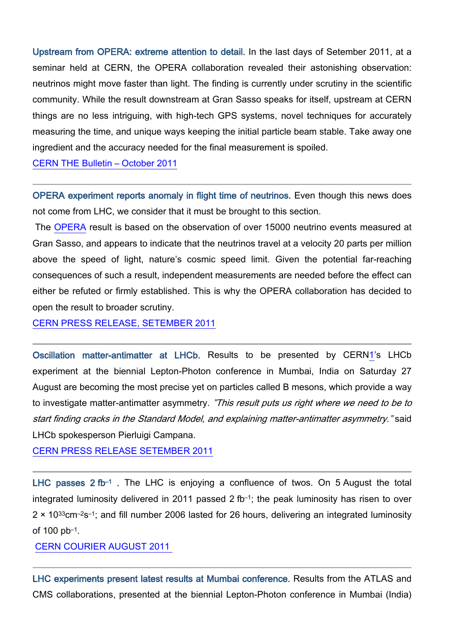Upstream from OPERA: extreme attention to detail. In the last days of Setember 2011, at a seminar held at CERN, the OPERA collaboration revealed their astonishing observation: neutrinos might move faster than light. The finding is currently under scrutiny in the scientific community. While the result downstream at Gran Sasso speaks for itself, upstream at CERN things are no less intriguing, with high-tech GPS systems, novel techniques for accurately measuring the time, and unique ways keeping the initial particle beam stable. Take away one ingredient and the accuracy needed for the final measurement is spoiled.

[CERN THE Bulletin –](http://cdsweb.cern.ch/journal/CERNBulletin/2011/41/News%20Articles/1387560?ln=en) October 2011

OPERA experiment reports anomaly in flight time of neutrinos. Even though this news does not come from LHC, we consider that it must be brought to this section.

The [OPERA](http://operaweb.lngs.infn.it/) result is based on the observation of over 15000 neutrino events measured at Gran Sasso, and appears to indicate that the neutrinos travel at a velocity 20 parts per million above the speed of light, nature's cosmic speed limit. Given the potential far-reaching consequences of such a result, independent measurements are needed before the effect can either be refuted or firmly established. This is why the OPERA collaboration has decided to open the result to broader scrutiny.

[CERN PRESS RELEASE, SETEMBER 2011](http://press.web.cern.ch/press/PressReleases/Releases2011/PR19.11E.html)

Oscillation matter-antimatter at LHCb. Results to be presented by CER[N1'](http://press.web.cern.ch/press/PressReleases/Releases2011/PR16.11E.html#footnote1)s LHCb experiment at the biennial Lepton-Photon conference in Mumbai, India on Saturday 27 August are becoming the most precise yet on particles called B mesons, which provide a way to investigate matter-antimatter asymmetry. "This result puts us right where we need to be to start finding cracks in the Standard Model, and explaining matter-antimatter asymmetry." said LHCb spokesperson Pierluigi Campana.

[CERN PRESS RELEASE SETEMBER 2011](http://press.web.cern.ch/press/PressReleases/Releases2011/PR16.11E.html)

LHC passes 2 fb<sup>-1</sup>. The LHC is enjoying a confluence of twos. On 5 August the total integrated luminosity delivered in 2011 passed 2 fb–1; the peak luminosity has risen to over 2 × 1033cm–2s–1; and fill number 2006 lasted for 26 hours, delivering an integrated luminosity of 100 pb–1.

## [CERN COURIER AUGUST 2011](http://cerncourier.com/cws/article/cern/46851)

LHC experiments present latest results at Mumbai conference. Results from the ATLAS and CMS collaborations, presented at the biennial Lepton-Photon conference in Mumbai (India)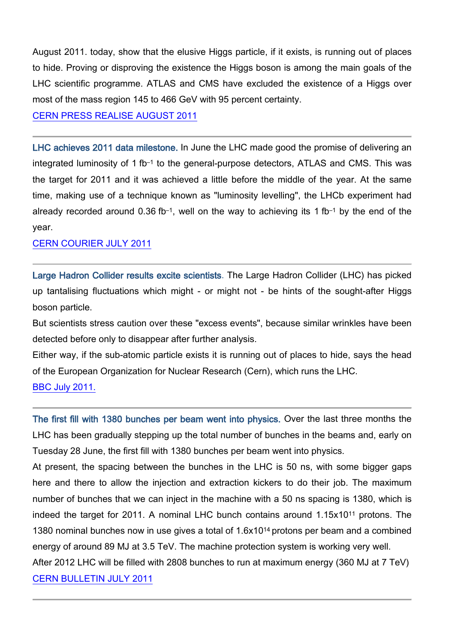August 2011. today, show that the elusive Higgs particle, if it exists, is running out of places to hide. Proving or disproving the existence the Higgs boson is among the main goals of the LHC scientific programme. ATLAS and CMS have excluded the existence of a Higgs over most of the mass region 145 to 466 GeV with 95 percent certainty.

[CERN PRESS REALISE AUGUST 2011](http://press.web.cern.ch/press/PressReleases/Releases2011/PR16.11E.html)

LHC achieves 2011 data milestone. In June the LHC made good the promise of delivering an integrated luminosity of 1 fb<sup>-1</sup> to the general-purpose detectors, ATLAS and CMS. This was the target for 2011 and it was achieved a little before the middle of the year. At the same time, making use of a technique known as "luminosity levelling", the LHCb experiment had already recorded around  $0.36$  fb<sup>-1</sup>, well on the way to achieving its 1 fb<sup>-1</sup> by the end of the year.

## [CERN COURIER JULY 2011](http://cerncourier.com/cws/article/cern/46516)

Large Hadron Collider results excite scientists. The Large Hadron Collider (LHC) has picked up tantalising fluctuations which might - or might not - be hints of the sought-after Higgs boson particle.

But scientists stress caution over these "excess events", because similar wrinkles have been detected before only to disappear after further analysis.

Either way, if the sub-atomic particle exists it is running out of places to hide, says the head of the European Organization for Nuclear Research (Cern), which runs the LHC.

## [BBC July 2011.](http://www.bbc.co.uk/news/science-environment-14258601)

The first fill with 1380 bunches per beam went into physics. Over the last three months the LHC has been gradually stepping up the total number of bunches in the beams and, early on Tuesday 28 June, the first fill with 1380 bunches per beam went into physics.

At present, the spacing between the bunches in the LHC is 50 ns, with some bigger gaps here and there to allow the injection and extraction kickers to do their job. The maximum number of bunches that we can inject in the machine with a 50 ns spacing is 1380, which is indeed the target for 2011. A nominal LHC bunch contains around 1.15x1011 protons. The 1380 nominal bunches now in use gives a total of 1.6x1014 protons per beam and a combined energy of around 89 MJ at 3.5 TeV. The machine protection system is working very well.

After 2012 LHC will be filled with 2808 bunches to run at maximum energy (360 MJ at 7 TeV) [CERN BULLETIN JULY 2011](http://cdsweb.cern.ch/journal/CERNBulletin/2011/28/News%20Articles/1365723?ln=it)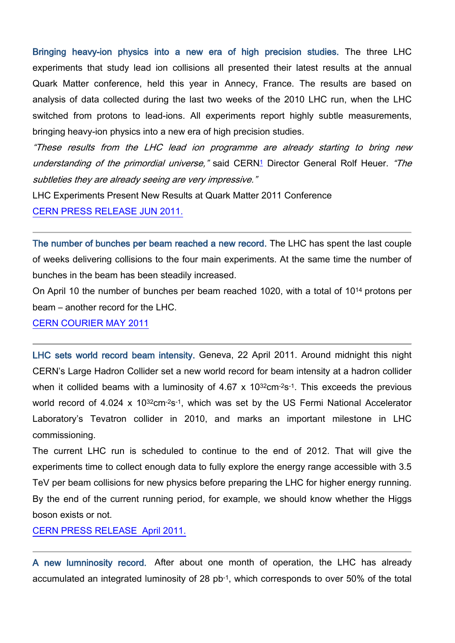Bringing heavy-ion physics into a new era of high precision studies. The three LHC experiments that study lead ion collisions all presented their latest results at the annual Quark Matter conference, held this year in Annecy, France. The results are based on analysis of data collected during the last two weeks of the 2010 LHC run, when the LHC switched from protons to lead-ions. All experiments report highly subtle measurements, bringing heavy-ion physics into a new era of high precision studies.

"These results from the LHC lead ion programme are already starting to bring new understanding of the primordial universe," said CER[N1](http://press.web.cern.ch/press/PressReleases/Releases2011/PR04.11E.html#footnote1) Director General Rolf Heuer. "The subtleties they are already seeing are very impressive."

LHC Experiments Present New Results at Quark Matter 2011 Conference

[CERN PRESS RELEASE JUN 2011.](http://press.web.cern.ch/press/PressReleases/Releases2011/PR04.11E.html)

The number of bunches per beam reached a new record. The LHC has spent the last couple of weeks delivering collisions to the four main experiments. At the same time the number of bunches in the beam has been steadily increased.

On April 10 the number of bunches per beam reached 1020, with a total of 1014 protons per beam – another record for the LHC.

[CERN COURIER MAY 2011](http://cerncourier.com/cws/article/cern/45735)

LHC sets world record beam intensity. Geneva, 22 April 2011. Around midnight this night CERN's Large Hadron Collider set a new world record for beam intensity at a hadron collider when it collided beams with a luminosity of  $4.67 \times 10^{32}$ cm $2s^{-1}$ . This exceeds the previous world record of 4.024 x 10<sup>32</sup>cm<sup>-2</sup>s<sup>-1</sup>, which was set by the US Fermi National Accelerator Laboratory's Tevatron collider in 2010, and marks an important milestone in LHC commissioning.

The current LHC run is scheduled to continue to the end of 2012. That will give the experiments time to collect enough data to fully explore the energy range accessible with 3.5 TeV per beam collisions for new physics before preparing the LHC for higher energy running. By the end of the current running period, for example, we should know whether the Higgs boson exists or not.

[CERN PRESS RELEASE](http://press.web.cern.ch/press/PressReleases/Releases2011/PR02.11E.html) April 2011.

A new lumninosity record. After about one month of operation, the LHC has already accumulated an integrated luminosity of 28 pb-1, which corresponds to over 50% of the total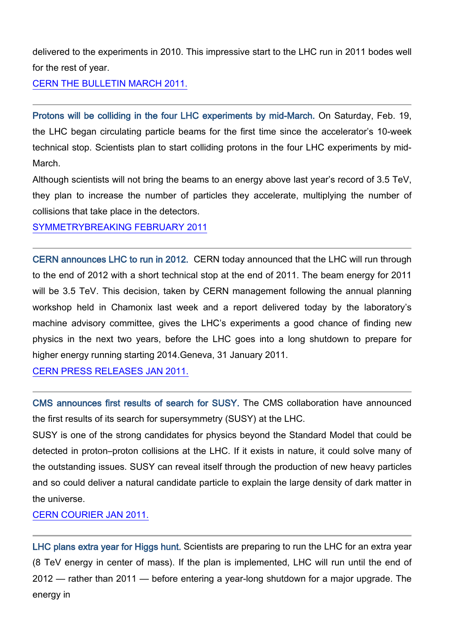delivered to the experiments in 2010. This impressive start to the LHC run in 2011 bodes well for the rest of year.

[CERN THE BULLETIN MARCH 2011.](http://cdsweb.cern.ch/journal/CERNBulletin/2011/13/News%20Articles/1339913?ln=en)

Protons will be colliding in the four LHC experiments by mid-March. On Saturday, Feb. 19, the LHC began circulating particle beams for the first time since the accelerator's 10-week technical stop. Scientists plan to start colliding protons in the four LHC experiments by mid-March.

Although scientists will not bring the beams to an energy above last year's record of 3.5 TeV, they plan to increase the number of particles they accelerate, multiplying the number of collisions that take place in the detectors.

[SYMMETRYBREAKING FEBRUARY 2011](http://www.symmetrymagazine.org/breaking/2011/02/25/lhc-revs-up-for-a-year-of-new-physics/)

CERN announces LHC to run in 2012. CERN today announced that the LHC will run through to the end of 2012 with a short technical stop at the end of 2011. The beam energy for 2011 will be 3.5 TeV. This decision, taken by CERN management following the annual planning workshop held in Chamonix last week and a report delivered today by the laboratory's machine advisory committee, gives the LHC's experiments a good chance of finding new physics in the next two years, before the LHC goes into a long shutdown to prepare for higher energy running starting 2014.Geneva, 31 January 2011.

[CERN PRESS RELEASES JAN 2011.](http://press.web.cern.ch/press/PressReleases/Releases2011/PR01.11E.html)

CMS announces first results of search for SUSY. The CMS collaboration have announced the first results of its search for supersymmetry (SUSY) at the LHC.

SUSY is one of the strong candidates for physics beyond the Standard Model that could be detected in proton–proton collisions at the LHC. If it exists in nature, it could solve many of the outstanding issues. SUSY can reveal itself through the production of new heavy particles and so could deliver a natural candidate particle to explain the large density of dark matter in the universe.

[CERN COURIER JAN 2011.](http://cerncourier.com/cws/article/cern/44838)

LHC plans extra year for Higgs hunt. Scientists are preparing to run the LHC for an extra year (8 TeV energy in center of mass). If the plan is implemented, LHC will run until the end of 2012 — rather than 2011 — before entering a year-long shutdown for a major upgrade. The energy in